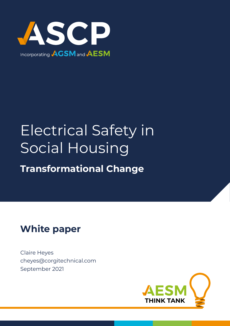

# Electrical Safety in Social Housing

**Transformational Change**

### **White paper**

Claire Heyes cheyes@corgitechnical.com September 2021

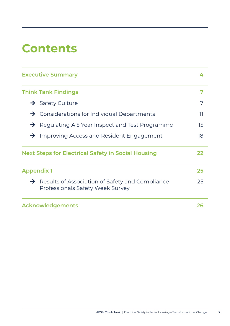## **Contents**

| <b>Executive Summary</b>                                                                                 | 4  |
|----------------------------------------------------------------------------------------------------------|----|
| <b>Think Tank Findings</b>                                                                               | 7  |
| $\rightarrow$ Safety Culture                                                                             | 7  |
| $\rightarrow$ Considerations for Individual Departments                                                  | 11 |
| Regulating A 5 Year Inspect and Test Programme<br>$\rightarrow$                                          | 15 |
| Improving Access and Resident Engagement<br>$\rightarrow$                                                | 18 |
| <b>Next Steps for Electrical Safety in Social Housing</b>                                                | 22 |
| <b>Appendix 1</b>                                                                                        | 25 |
| $\rightarrow$ Results of Association of Safety and Compliance<br><b>Professionals Safety Week Survey</b> | 25 |
| <b>Acknowledgements</b>                                                                                  | 26 |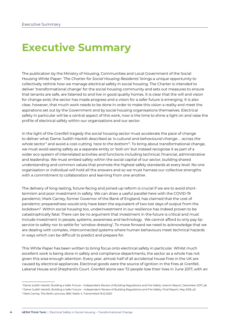## <span id="page-3-0"></span>**Executive Summary**

The publication by the Ministry of Housing, Communities and Local Government of the Social Housing White Paper: *'The Charter for Social Housing Residents'* brings a unique opportunity to collectively rethink how we manage electrical safety in social housing. The Charter is intended to deliver 'transformational change' for the social housing community and sets out measures to ensure that tenants are safe, are listened to and live in good quality homes. It is clear that the will and vision for change exist; the sector has made progress and a vision for a safer future is emerging. It is also clear, however, that much work needs to be done in order to make this vision a reality and meet the aspirations set out by the Government and by social housing organisations themselves. Electrical safety in particular will be a central aspect of this work, now is the time to shine a light on and raise the profile of electrical safety within our organisations and our sector.

In the light of the Grenfell tragedy the social housing sector must accelerate the pace of change to deliver what Dame Judith Hackitt described as *'a cultural and behavioural change … across the whole sector'*<sup>1</sup> and avoid a cost-cutting *'race to the bottom'*2. To bring about transformational change, we must avoid seeing safety as a separate entity or 'bolt-on' but instead recognise it as part of a wider eco-system of interrelated activities and functions including technical, financial, administrative and leadership. We must embed safety within the social capital of our sector, building shared understanding and common values that promote the highest safety standards at every level. No one organisation or individual will hold all the answers and so we must harness our collective strengths with a commitment to collaboration and learning from one another.

The delivery of long-lasting, future-facing and joined-up reform is crucial if we are to avoid shorttermism and poor investment in safety. We can draw a useful parallel here with the COVID-19 pandemic; Mark Carney, former Governor of the Bank of England, has claimed that the cost of pandemic preparedness would only have been the equivalent of two lost days of output from the lockdown3 . Within social housing too, underinvestment in our resilience has indeed proven to be catastrophically fatal. There can be no argument that investment in the future is critical and must include investment in people, systems, awareness and technology. We cannot afford to only pay lipservice to safety nor to settle for 'window dressing'. To move forward we need to acknowledge that we are dealing with complex, interconnected systems where human behaviours meet technical hazards in ways which can be difficult to predict and prepare for.

This White Paper has been written to bring focus onto electrical safety in particular. Whilst much excellent work is being done in safety and compliance departments, the sector as a whole has not given this area enough attention. Every year, almost half of all accidental house fires in the UK are caused by electrical appliances. Electrical goods were the source of ignition in the fires at Grenfell, Lakanal House and Shepherd's Court. Grenfell alone saw 72 people lose their lives in June 2017, with an

<sup>1</sup> Dame Judith Hackitt, Building a Safer Future – Independent Review of Building Regulations and Fire Safety: Interim Report, December 2017, p6

<sup>2</sup> Dame Judith Hackitt, Building a Safer Future – Independent Review of Building Regulations and Fire Safety: Final Report, May 2018, p5

<sup>3</sup> Mark Carney, The Reith Lectures, BBC Radio 4, Transmitted 16.12.2020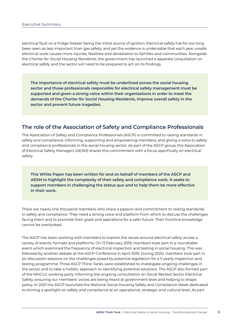electrical fault on a fridge-freezer being the initial source of ignition. Electrical safety has for too long been seen as less important than gas safety, and yet the evidence is undeniable that each year unsafe electrical work causes more injuries, fatalities and devastation to families and communities. Alongside the *Charter for Social Housing Residents*, the government has launched a separate consultation on electrical safety and the sector will need to be prepared to act on its findings.

**The importance of electrical safety must be underlined across the social housing sector and those professionals responsible for electrical safety management must be supported and given a strong voice within their organisations in order to meet the demands of the** *Charter for Social Housing Residents***, improve overall safety in the sector and prevent future tragedies.**

#### **The role of the Association of Safety and Compliance Professionals**

The Association of Safety and Compliance Professionals (ASCP) is committed to raising standards in safety and compliance; informing, supporting and empowering members, and giving a voice to safety and compliance professionals in the social housing sector. As part of the ASCP group, the Association of Electrical Safety Managers (AESM) shares this commitment with a focus specifically on electrical safety.

**This White Paper has been written for and on behalf of members of the ASCP and AESM to highlight the complexity of their safety and compliance work. It seeks to support members in challenging the status quo and to help them be more effective in their work.** 

There are nearly one thousand members who share a passion and commitment to raising standards in safety and compliance. They need a strong voice and platform from which to discuss the challenges facing them and to promote their goals and aspirations for a safer future. Their frontline knowledge cannot be overlooked.

The ASCP has been working with members to explore the issues around electrical safety across a variety of events, formats and platforms. On 13 February 2019, members took part in a roundtable event which examined the frequency of electrical inspection and testing in social housing. This was followed by another debate at the ASCP Conference in April 2019. During 2020, members took part in six discussion sessions on the challenges posed by potential legislation for a 5 yearly inspection and testing programme. Three ASCP Think Tanks were established to investigate ongoing challenges in the sector and to take a holistic approach to identifying potential solutions. The ASCP also formed part of the MHCLG working party informing the ongoing consultation on Social Rented Sector Electrical Safety, ensuring our members' voices are being heard at government level and helping to shape policy. In 2021 the ASCP launched the National Social Housing Safety and Compliance Week dedicated to shining a spotlight on safety and compliance at an operational, strategic and cultural level. As part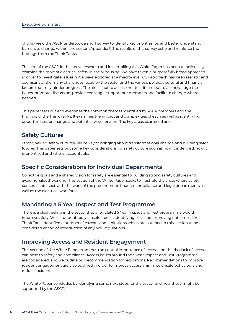of this week, the ASCP undertook a short survey to identify key priorities for, and better understand barriers to change within, the sector. (Appendix 1) The results of this survey echo and reinforce the findings from the Think Tanks.

The aim of the ASCP in the above research and in compiling this White Paper has been to holistically examine the topic of electrical safety in social housing. We have taken a purposefully broad approach in order to investigate issues not always explored at a macro-level. Our approach has been realistic and cognisant of the many challenges faced by the sector and the various political, cultural and financial factors that may hinder progress. The aim is not to accuse nor to criticise but to acknowledge the issues, promote discussion, provide challenge, support our members and facilitate change where needed.

This paper sets out and examines the common themes identified by ASCP members and the findings of the Think Tanks. It examines the impact and complexities of each as well as identifying opportunities for change and potential ways forward. The key areas examined are:

#### **Safety Cultures**

Strong valued safety cultures will be key to bringing about transformational change and building safer futures. This paper sets out some key considerations for safety culture such as how it is defined, how it is prioritised and who is accountable.

#### **Specific Considerations for Individual Departments**

Collective goals and a shared vision for safety are essential to building strong safety cultures and avoiding 'siloed' working. This section of the White Paper seeks to illustrate the areas where safety concerns intersect with the work of the procurement, finance, compliance and legal departments as well as the electrical workforce.

#### **Mandating a 5 Year Inspect and Test Programme**

There is a clear feeling in the sector that a regulated 5 Year Inspect and Test programme would improve safety. Whilst undoubtedly a useful tool in identifying risks and improving outcomes, the Think Tank identified a number of caveats and limitations which are outlined in this section to be considered ahead of introduction of any new regulations.

#### **Improving Access and Resident Engagement**

This section of the White Paper examines the central importance of access and the risk lack of access can pose to safety and compliance. Access issues around the 5 year Inspect and Test Programme are considered, and we outline our recommendation for regulations. Recommendations to improve resident engagement are also outlined in order to improve access, minimise unsafe behaviours and reduce incidents.

The White Paper concludes by identifying some next steps for the sector and how these might be supported by the ASCP.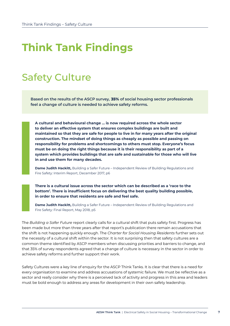## <span id="page-6-0"></span>**Think Tank Findings**

### Safety Culture

**Based on the results of the ASCP survey, 35% of social housing sector professionals feel a change of culture is needed to achieve safety reforms.**

**A cultural and behavioural change … is now required across the whole sector to deliver an effective system that ensures complex buildings are built and maintained so that they are safe for people to live in for many years after the original construction. The mindset of doing things as cheaply as possible and passing on responsibility for problems and shortcomings to others must stop. Everyone's focus must be on doing the right things because it is their responsibility as part of a system which provides buildings that are safe and sustainable for those who will live in and use them for many decades.**

**Dame Judith Hackitt.** Building a Safer Future – Independent Review of Building Regulations and Fire Safety: Interim Report, December 2017, p6

**There is a cultural issue across the sector which can be described as a 'race to the bottom'. There is insufficient focus on delivering the best quality building possible, in order to ensure that residents are safe and feel safe.** 

**Dame Judith Hackitt,** Building a Safer Future – Independent Review of Building Regulations and Fire Safety: Final Report, May 2018, p5

The *Building a Safer Future* report clearly calls for a cultural shift that puts safety first. Progress has been made but more than three years after that report's publication there remain accusations that the shift is not happening quickly enough. The *Charter for Social Housing Residents* further sets out the necessity of a cultural shift within the sector. It is not surprising then that safety cultures are a common theme identified by ASCP members when discussing priorities and barriers to change, and that 35% of survey respondents agreed that a change of culture is necessary in the sector in order to achieve safety reforms and further support their work.

Safety Cultures were a key line of enquiry for the ASCP Think Tanks. It is clear that there is a need for every organisation to examine and address accusations of systemic failure. We must be reflective as a sector and really consider why there is a perceived lack of activity and progress in this area and leaders must be bold enough to address any areas for development in their own safety leadership.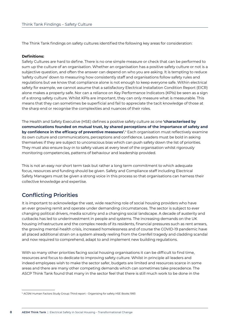The Think Tank findings on safety cultures identified the following key areas for consideration:

#### **Definitions:**

Safety Cultures are hard to define. There is no one simple measure or check that can be performed to sum up the culture of an organisation. Whether an organisation has a positive safety culture or not is a subjective question, and often the answer can depend on who you are asking. It is tempting to reduce 'safety culture' down to measuring how consistently staff and organisations follow safety rules and regulations but we know that compliance alone is not enough to keep everyone safe. Within electrical safety for example, we cannot assume that a satisfactory Electrical Installation Condition Report (EICR) alone makes a property safe. Nor can a reliance on Key Performance Indicators (KPIs) be seen as a sign of a strong safety culture. Whilst KPIs are important, they can only measure what is measurable. This means that they can sometimes be superficial and fail to appreciate the tacit knowledge of those at the sharp end or recognise the complexities and nuances of their roles.

The Health and Safety Executive (HSE) defines a positive safety culture as one **'characterised by communications founded on mutual trust, by shared perceptions of the importance of safety and by confidence in the efficacy of preventive measures'.**4 Each organisation must reflectively examine its own culture and communications, perceptions and confidence. Leaders must be bold in asking themselves if they are subject to unconscious bias which can push safety down the list of priorities. They must also ensure buy-in to safety values at every level of the organisation whilst rigorously monitoring competencies, patterns of behaviour and leadership provided.

This is not an easy nor short term task but rather a long term commitment to which adequate focus, resources and funding should be given. Safety and Compliance staff including Electrical Safety Managers must be given a strong voice in this process so that organisations can harness their collective knowledge and expertise.

#### **Conflicting Priorities**

It is important to acknowledge the vast, wide reaching role of social housing providers who have an ever growing remit and operate under demanding circumstances. The sector is subject to ever changing political drivers, media scrutiny and a changing social landscape. A decade of austerity and cutbacks has led to underinvestment in people and systems. The increasing demands on the UK housing infrastructure and the complex needs of its residents, financial pressures such as rent arrears, the growing mental-health crisis, increased homelessness and of course the COVID-19 pandemic have all placed additional strain on a system already reeling from the Grenfell tragedy and cladding scandal and now required to comprehend, adapt to and implement new building regulations.

With so many other priorities facing social housing organisations it can be difficult to find time, resources and focus to dedicate to improving safety culture. Whilst in principle all leaders and indeed employees wish to make the sector safer, budgets are limited and resources scarce in some areas and there are many other competing demands which can sometimes take precedence. The ASCP Think Tank found that many in the sector feel that there is still much work to be done in the

<sup>4</sup> ACSNI Human Factors Study Group: Third report - Organising for safety HSE Books 1993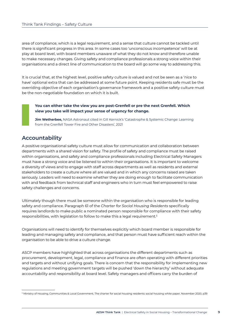area of compliance, which is a legal requirement, and a sense that culture cannot be tackled until there is significant progress in this area. In some cases too 'unconscious incompetence' will be at play at board level, with board members unaware of what they do not know and therefore unable to make necessary changes. Giving safety and compliance professionals a strong voice within their organisations and a direct line of communication to the board will go some way to addressing this.

It is crucial that, at the highest level, positive safety culture is valued and not be seen as a 'nice to have' optional extra that can be addressed at some future point. Keeping residents safe must be the overriding objective of each organisation's governance framework and a positive safety culture must be the non-negotiable foundation on which it is built.

**You can either take the view you are post-Grenfell or pre the next Grenfell. Which view you take will impact your sense of urgency for change.**

**Jim Wetherbee,** NASA Astronaut cited in Gill Kernick's 'Catastrophe & Systemic Change: Learning from the Grenfell Tower Fire and Other Disasters', 2021

#### **Accountability**

A positive organisational safety culture must allow for communication and collaboration between departments with a shared vision for safety. The profile of safety and compliance must be raised within organisations, and safety and compliance professionals including Electrical Safety Managers must have a strong voice and be listened to within their organisations. It is important to welcome a diversity of views and to engage with staff across departments as well as residents and external stakeholders to create a culture where all are valued and in which any concerns raised are taken seriously. Leaders will need to examine whether they are doing enough to facilitate communication with and feedback from technical staff and engineers who in turn must feel empowered to raise safety challenges and concerns.

Ultimately though there must be someone within the organisation who is responsible for leading safety and compliance. Paragraph 61 of the *Charter for Social Housing Residents* specifically requires landlords to make public a nominated person responsible for compliance with their safety responsibilities, with legislation to follow to make this a legal requirement.5

Organisations will need to identify for themselves explicitly which board member is responsible for leading and managing safety and compliance, and that person must have sufficient reach within the organisation to be able to drive a culture change.

ASCP members have highlighted that across organisations the different departments such as procurement, development, legal, compliance and finance are often operating with different priorities and targets and without unifying goals. There is concern that the responsibility for implementing new regulations and meeting government targets will be pushed 'down the hierarchy' without adequate accountability and responsibility at board level. Safety managers and officers carry the burden of

<sup>5</sup> Ministry of Housing, Communities & Local Government, The charter for social housing residents: social housing white paper, November 2020, p39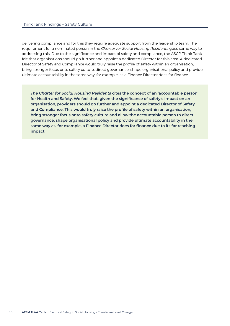delivering compliance and for this they require adequate support from the leadership team. The requirement for a nominated person in the *Charter for Social Housing Residents* goes some way to addressing this. Due to the significance and impact of safety and compliance, the ASCP Think Tank felt that organisations should go further and appoint a dedicated Director for this area. A dedicated Director of Safety and Compliance would truly raise the profile of safety within an organisation, bring stronger focus onto safety culture, direct governance, shape organisational policy and provide ultimate accountability in the same way, for example, as a Finance Director does for finance.

*The Charter for Social Housing Residents* **cites the concept of an 'accountable person' for Health and Safety. We feel that, given the significance of safety's impact on an organisation, providers should go further and appoint a dedicated Director of Safety and Compliance. This would truly raise the profile of safety within an organisation, bring stronger focus onto safety culture and allow the accountable person to direct governance, shape organisational policy and provide ultimate accountability in the same way as, for example, a Finance Director does for finance due to its far reaching impact.**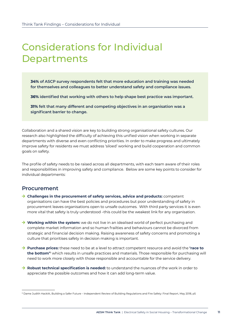### <span id="page-10-0"></span>Considerations for Individual **Departments**

**34% of ASCP survey respondents felt that more education and training was needed for themselves and colleagues to better understand safety and compliance issues.** 

**36% identified that working with others to help shape best practice was important.** 

**31% felt that many different and competing objectives in an organisation was a significant barrier to change.** 

Collaboration and a shared vision are key to building strong organisational safety cultures. Our research also highlighted the difficulty of achieving this unified vision when working in separate departments with diverse and even conflicting priorities. In order to make progress and ultimately improve safety for residents we must address 'siloed' working and build cooperation and common goals on safety.

The profile of safety needs to be raised across all departments, with each team aware of their roles and responsibilities in improving safety and compliance. Below are some key points to consider for individual departments:

#### **Procurement**

- → Challenges in the procurement of safety services, advice and products: competent organisations can have the best policies and procedures but poor understanding of safety in procurement leaves organisations open to unsafe outcomes. With third party services it is even more vital that safety is truly understood –this could be the weakest link for any organisation.
- → Working within the system: we do not live in an idealised world of perfect purchasing and complete market information and so human frailties and behaviours cannot be divorced from strategic and financial decision making. Raising awareness of safety concerns and promoting a culture that prioritises safety in decision making is important.
- → **Purchase prices:** these need to be at a level to attract competent resource and avoid the **'race to the bottom'**6 which results in unsafe practices and materials. Those responsible for purchasing will need to work more closely with those responsible and accountable for the service delivery.
- → **Robust technical specification is needed:** to understand the nuances of the work in order to appreciate the possible outcomes and how it can add long-term value.

<sup>6</sup> Dame Judith Hackitt, Building a Safer Future – Independent Review of Building Regulations and Fire Safety: Final Report, May 2018, p5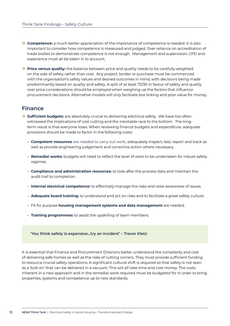- **→ Competence:** a much better appreciation of the importance of competence is needed. It is also important to consider how competence is measured and judged. Over reliance on accreditation of trade bodies to demonstrate competence is not enough. Management and supervision, CPD and experience must all be taken in to account.
- → Price versus quality: the balance between price and quality needs to be carefully weighted on the side of safety rather than cost. Any project, tender or purchase must be commenced with the organisation's safety values and desired outcomes in mind, with decisions being made predominantly based on quality and safety. A split of at least 70/30 in favour of safety and quality over price considerations should be employed when weighing up the factors that influence procurement decisions. Alternative models will only facilitate box ticking and poor value for money.

#### **Finance**

- → **Sufficient budgets:** are absolutely crucial to delivering electrical safety. We have too often witnessed the implications of cost cutting and the inevitable race to the bottom. The longterm result is that everyone loses. When reviewing finance budgets and expenditure, adequate provisions should be made to factor in the following costs:
	- **Competent resources** are needed to carry out work, adequately inspect, test, report and track as well as provide engineering judgement and corrective action where necessary.
	- **Remedial works:** budgets will need to reflect the level of work to be undertaken for robust safety regimes.
	- **Compliance and administration resources:** to look after the process data and maintain the audit trail to completion.
	- **Internal electrical competence:** to effectively manage the risks and raise awareness of issues.
	- **Adequate board training:** to understand and act on risks and to facilitate a great safety culture.
	- Fit for purpose **housing management systems and data management** are needed.
	- **Training programmes:** to assist the upskilling of team members.

#### **'You think safety is expensive…try an incident' – Trevor Kletz**

It is essential that Finance and Procurement Directors better understand the complexity and cost of delivering safe homes as well as the risks of cutting corners. They must provide sufficient funding to resource crucial safety operations. A significant cultural shift is required so that safety is not seen as a 'bolt-on' that can be delivered in a vacuum. This will all take time and cost money. The costs inherent in a new approach and in the remedial work required must be budgeted for in order to bring properties, systems and competence up to new standards.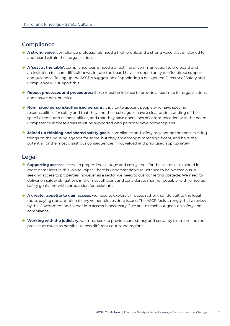#### **Compliance**

- **→ A strong voice:** compliance professionals need a high profile and a strong voice that is listened to and heard within their organisations
- → A 'seat at the table': compliance teams need a direct line of communication to the board and an invitation to share difficult news. In turn the board have an opportunity to offer direct support and guidance. Taking up the ASCP's suggestion of appointing a designated Director of Safety and Compliance will support this.
- → **Robust processes and procedures:** these must be in place to provide a roadmap for organisations and ensure best practice.
- **→ Nominated persons/authorised persons:** it is vital to appoint people who have specific responsibilities for safety and that they and their colleagues have a clear understanding of their specific remit and responsibilities, and that they have open lines of communication with the board. Competence in these areas must be supported with personal development plans.
- $\rightarrow$  **Joined up thinking and shared safety goals:** compliance and safety may not be the most exciting things on the housing agenda for some, but they are amongst most significant, and have the potential for the most disastrous consequences if not valued and prioritised appropriately.

#### **Legal**

- → **Supporting access:** access to properties is a huge and costly issue for the sector, as explored in more detail later in this White Paper. There is understandable reluctance to be overzealous in seeking access to properties, however as a sector we need to overcome this obstacle. We need to deliver on safety obligations in the most efficient and considerate manner possible, with joined up safety goals and with compassion for residents.
- $\rightarrow$  **A greater appetite to gain access:** we need to explore all routes rather than default to the legal route, paying due attention to any vulnerable resident issues. The ASCP feels strongly that a review by the Government and sector into access is necessary if we are to reach our goals on safety and compliance.
- → **Working with the judiciary:** we must seek to provide consistency and certainty to streamline the process as much as possible, across different courts and regions.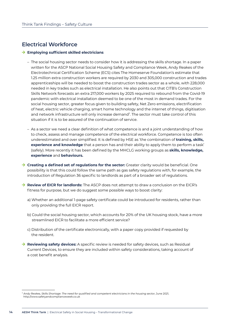#### **Electrical Workforce**

#### → Employing sufficient skilled electricians

- The social housing sector needs to consider how it is addressing the skills shortage. In a paper written for the ASCP National Social Housing Safety and Compliance Week, Andy Reakes of the Electrotechnical Certification Scheme (ECS) cites The Homeserve Foundation's estimate that 1.25 million extra construction workers are required by 2030 and 305,000 construction and trades apprenticeships will be needed to boost the construction trades sector as a whole, with 228,000 needed in key trades such as electrical installation. He also points out that CITB's Construction Skills Network forecasts an extra 217,000 workers by 2025 required to rebound from the Covid-19 pandemic with electrical installation deemed to be one of the most in demand trades. For the social housing sector, greater focus given to building safety, Net Zero emissions, electrification of heat, electric vehicle charging, smart home technology and the internet of things, digitisation and network infrastructure will only increase demand<sup>7</sup>. The sector must take control of this situation if it is to be assured of the continuation of service.
- As a sector we need a clear definition of what competence is and a joint understanding of how to check, assess and manage competence of the electrical workforce. Competence is too often underestimated and over simplified. It is defined by HSE as 'the combination of **training, skills, experience and knowledge** that a person has and their ability to apply them to perform a task' (safely). More recently it has been defined by the MHCLG working groups as **skills, knowledge, experience** and **behaviours.**
- → Creating a defined set of regulations for the sector: Greater clarity would be beneficial. One possibility is that this could follow the same path as gas safety regulations with, for example, the introduction of Regulation 36 specific to landlords as part of a broader set of regulations.
- $\rightarrow$  **Review of EICR for landlords:** The ASCP does not attempt to draw a conclusion on the EICR's fitness for purpose, but we do suggest some possible ways to boost clarity:
	- a) Whether an additional 1-page safety certificate could be introduced for residents, rather than only providing the full EICR report.
	- b) Could the social housing sector, which accounts for 20% of the UK housing stock, have a more streamlined EICR to facilitate a more efficient service?
	- c) Distribution of the certificate electronically, with a paper copy provided if requested by the resident.
- **→ Reviewing safety devices:** A specific review is needed for safety devices, such as Residual Current Devices, to ensure they are included within safety considerations, taking account of a cost benefit analysis.

<sup>7</sup> *Andy Reakes, Skills Shortage: The need for qualified and competent electricians in the housing sector*, June 2021, http://www.safetyandcomplianceweek.co.uk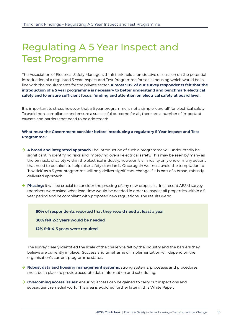### <span id="page-14-0"></span>Regulating A 5 Year Inspect and Test Programme

The Association of Electrical Safety Managers think tank held a productive discussion on the potential introduction of a regulated 5 Year Inspect and Test Programme for social housing which would be in line with the requirements for the private sector. **Almost 90% of our survey respondents felt that the introduction of a 5 year programme is necessary to better understand and benchmark electrical safety and to ensure sufficient focus, funding and attention on electrical safety at board level.** 

It is important to stress however that a 5 year programme is not a simple 'cure-all' for electrical safety. To avoid non-compliance and ensure a successful outcome for all, there are a number of important caveats and barriers that need to be addressed:

#### **What must the Government consider before introducing a regulatory 5 Year Inspect and Test Programme?**

- → A broad and integrated approach The introduction of such a programme will undoubtedly be significant in identifying risks and improving overall electrical safety. This may be seen by many as the pinnacle of safety within the electrical industry, however it is in reality only one of many actions that need to be taken to help raise safety standards. Once again we must avoid the temptation to 'box tick' as a 5 year programme will only deliver significant change if it is part of a broad, robustly delivered approach.
- → **Phasing:** It will be crucial to consider the phasing of any new proposals. In a recent AESM survey, members were asked what lead time would be needed in order to inspect all properties within a 5 year period and be compliant with proposed new regulations. The results were:

**50% of respondents reported that they would need at least a year** 

**38% felt 2-3 years would be needed** 

**12% felt 4-5 years were required**

 The survey clearly identified the scale of the challenge felt by the industry and the barriers they believe are currently in place. Success and timeframe of implementation will depend on the organisation's current programme status.

- → **Robust data and housing management systems:** strong systems, processes and procedures must be in place to provide accurate data, information and scheduling.
- **→ Overcoming access issues:** ensuring access can be gained to carry out inspections and subsequent remedial work. This area is explored further later in this White Paper.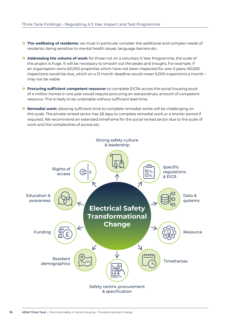- → The wellbeing of residents: we must in particular consider the additional and complex needs of residents, being sensitive to mental health issues, language barriers etc.
- → **Addressing the volume of work:** for those not on a voluntary 5 Year Programme, the scale of the project is huge. It will be necessary to smooth out the peaks and troughs. For example, if an organisation owns 60,000 properties which have not been inspected for over 5 years, 60,000 inspections would be due, which on a 12 month deadline would mean 5,000 inspections a month – may not be viable.
- → Procuring sufficient competent resource: to complete EICRs across the social housing stock of 4 million homes in one year would require procuring an extraordinary amount of competent resource. This is likely to be untenable without sufficient lead time.
- → Remedial work: allowing sufficient time to complete remedial works will be challenging on this scale. The private rented sector has 28 days to complete remedial work or a shorter period if required. We recommend an extended timeframe for the social rented sector due to the scale of work and the complexities of access etc.

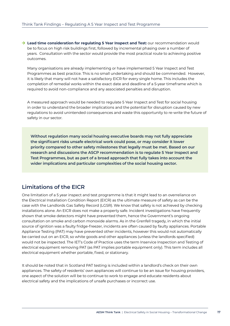→ Lead time consideration for regulating 5 Year Inspect and Test: our recommendation would be to focus on high risk buildings first, followed by incremental phasing over a number of years. Consultation with the sector would provide the most practical route to achieving positive outcomes.

 Many organisations are already implementing or have implemented 5 Year Inspect and Test Programmes as best practice. This is no small undertaking and should be commended. However, it is likely that many will not have a satisfactory EICR for every single home. This includes the completion of remedial works within the exact date and deadline of a 5-year timeframe which is required to avoid non-compliance and any associated penalties and disruption.

 A measured approach would be needed to regulate 5 Year Inspect and Test for social housing in order to understand the broader implications and the potential for disruption caused by new regulations to avoid unintended consequences and waste this opportunity to re-write the future of safety in our sector.

**Without regulation many social housing executive boards may not fully appreciate the significant risks unsafe electrical work could pose, or may consider it lower priority compared to other safety milestones that legally must be met. Based on our research and discussions the ASCP recommendation is to regulate 5 Year Inspect and Test Programmes, but as part of a broad approach that fully takes into account the wider implications and particular complexities of the social housing sector.**

#### **Limitations of the EICR**

One limitation of a 5 year inspect and test programme is that it might lead to an overreliance on the Electrical Installation Condition Report (EICR) as the ultimate measure of safety as can be the case with the Landlords Gas Safety Record (LGSR). We know that safety is not achieved by checking installations alone. An EICR does not make a property safe. Incident investigations have frequently shown that smoke detectors might have prevented them, hence the Government's ongoing consultation on smoke and carbon monoxide alarms. As in the Grenfell tragedy, in which the initial source of ignition was a faulty fridge-freezer, incidents are often caused by faulty appliances. Portable Appliance Testing (PAT) may have prevented other incidents, however this would not automatically be carried out on an EICR, so white goods and other appliances (unless the landlords specified) would not be inspected. The IET's Code of Practice uses the term Inservice Inspection and Testing of electrical equipment removing PAT (as PAT implies portable equipment only). This term includes all electrical equipment whether portable, fixed, or stationary.

It should be noted that in Scotland PAT testing is included within a landlord's check on their own appliances. The safety of residents' own appliances will continue to be an issue for housing providers, one aspect of the solution will be to continue to work to engage and educate residents about electrical safety and the implications of unsafe purchases or incorrect use.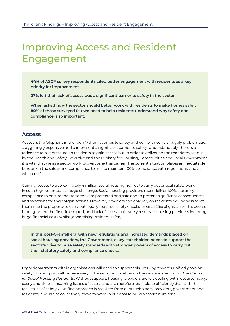### <span id="page-17-0"></span>Improving Access and Resident Engagement

**44% of ASCP survey respondents cited better engagement with residents as a key priority for improvement.**

**27% felt that lack of access was a significant barrier to safety in the sector.** 

**When asked how the sector should better work with residents to make homes safer, 80% of those surveyed felt we need to help residents understand why safety and compliance is so important.**

#### **Access**

Access is the 'elephant in the room' when it comes to safety and compliance. It is hugely problematic, staggeringly expensive and can present a significant barrier to safety. Understandably, there is a reticence to put pressure on residents to gain access but in order to deliver on the mandates set out by the Health and Safety Executive and the Ministry for Housing, Communities and Local Government it is vital that we as a sector work to overcome this barrier. The current situation places an inequitable burden on the safety and compliance teams to maintain 100% compliance with regulations, and at what cost?

Gaining access to approximately 4 million social housing homes to carry out critical safety work in such high volumes is a huge challenge. Social housing providers must deliver 100% statutory compliance to ensure that residents are protected and safe and to prevent significant consequences and sanctions for their organisations. However, providers can only rely on residents' willingness to let them into the property to carry out legally required safety checks. In circa 25% of gas cases this access is not granted the first time round, and lack of access ultimately results in housing providers incurring huge financial costs whilst jeopardising resident safety.

**In this post-Grenfell era, with new regulations and increased demands placed on social housing providers, the Government, a key stakeholder, needs to support the sector's drive to raise safety standards with stronger powers of access to carry out their statutory safety and compliance checks.** 

Legal departments within organisations will need to support this, working towards unified goals on safety. This support will be necessary if the sector is to deliver on the demands set out in *The Charter for Social Housing Residents*. Without support, housing providers are left dealing with resource heavy, costly and time-consuming issues of access and are therefore less able to efficiently deal with the real issues of safety. A unified approach is required from all stakeholders, providers, government and residents if we are to collectively move forward in our goal to build a safer future for all.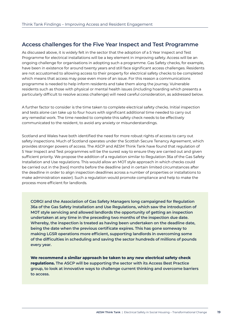#### **Access challenges for the Five Year Inspect and Test Programme**

As discussed above, it is widely felt in the sector that the adoption of a 5 Year Inspect and Test Programme for electrical installations will be a key element in improving safety. Access will be an ongoing challenge for organisations in adopting such a programme. Gas Safety checks, for example, have been in existence for around twenty years and still face significant access challenges. Residents are not accustomed to allowing access to their property for electrical safety checks to be completed which means that access may pose even more of an issue. For this reason a communications programme is needed to help inform residents and take them along the journey. Vulnerable residents such as those with physical or mental health issues (including hoarding which presents a particularly difficult to resolve access challenge) will need careful consideration, as addressed below.

A further factor to consider is the time taken to complete electrical safety checks. Initial inspection and tests alone can take up to four hours with significant additional time needed to carry out any remedial work. The time needed to complete this safety check needs to be effectively communicated to the resident, to avoid any anxiety or misunderstandings.

Scotland and Wales have both identified the need for more robust rights of access to carry out safety inspections. Much of Scotland operates under the Scottish Secure Tenancy Agreement, which provides stronger powers of access. The ASCP and AESM Think Tank have found that regulation of 5 Year Inspect and Test programmes will be the surest way to ensure they are carried out and given sufficient priority. We propose the addition of a regulation similar to Regulation 36a of the Gas Safety Installation and Use regulations. This would allow an MOT style approach in which checks could be carried out in the [two] months before the deadline (and in certain limited circumstances after the deadline in order to align inspection deadlines across a number of properties or installations to make administration easier). Such a regulation would promote compliance and help to make the process more efficient for landlords.

**CORGI and the Association of Gas Safety Managers long campaigned for Regulation 36a of the Gas Safety Installation and Use Regulations, which saw the introduction of MOT style servicing and allowed landlords the opportunity of getting an inspection undertaken at any time in the preceding two months of the inspection due date. Whereby, the inspection is treated as having been undertaken on the deadline date, being the date when the previous certificate expires. This has gone someway to making LGSR operations more efficient, supporting landlords in overcoming some of the difficulties in scheduling and saving the sector hundreds of millions of pounds every year.** 

**We recommend a similar approach be taken to any new electrical safety check regulations. The ASCP will be supporting the sector with its Access Best Practice group, to look at innovative ways to challenge current thinking and overcome barriers to access.**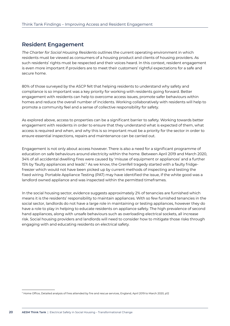#### **Resident Engagement**

*The Charter for Social Housing Residents* outlines the current operating environment in which residents must be viewed as consumers of a housing product and clients of housing providers. As such residents' rights must be respected and their voices heard. In this context, resident engagement is even more important if providers are to meet their customers' rightful expectations for a safe and secure home.

80% of those surveyed by the ASCP felt that helping residents to understand why safety and compliance is so important was a key priority for working with residents going forward. Better engagement with residents can help to overcome access issues, promote safer behaviours within homes and reduce the overall number of incidents. Working collaboratively with residents will help to promote a community feel and a sense of collective responsibility for safety.

As explored above, access to properties can be a significant barrier to safety. Working towards better engagement with residents in order to ensure that they understand what is expected of them, what access is required and when, and why this is so important must be a priority for the sector in order to ensure essential inspections, repairs and maintenance can be carried out.

Engagement is not only about access however. There is also a need for a significant programme of education on safe behaviours around electricity within the home. Between April 2019 and March 2020, 34% of all accidental dwelling fires were caused by 'misuse of equipment or appliances' and a further 15% by 'faulty appliances and leads'.<sup>7</sup> As we know, the Grenfell tragedy started with a faulty fridgefreezer which would not have been picked up by current methods of inspecting and testing the fixed wiring. Portable Appliance Testing (PAT) may have identified the issue, if the white good was a landlord owned appliance and was inspected within the permitted timeframes.

In the social housing sector, evidence suggests approximately 2% of tenancies are furnished which means it is the residents' responsibility to maintain appliances. With so few furnished tenancies in the social sector, landlords do not have a large role in maintaining or testing appliances, however they do have a role to play in helping to educate residents on appliance safety. The high prevalence of second hand appliances, along with unsafe behaviours such as overloading electrical sockets, all increase risk. Social housing providers and landlords will need to consider how to mitigate those risks through engaging with and educating residents on electrical safety.

<sup>7</sup> Home Office, Detailed analysis of fires attended by fire and rescue services, England, April 2019 to March 2020, p12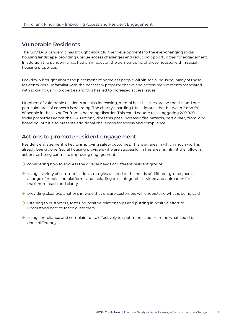#### **Vulnerable Residents**

The COVID-19 pandemic has brought about further developments to the ever-changing social housing landscape, providing unique access challenges and reducing opportunities for engagement. In addition the pandemic has had an impact on the demographic of those housed within social housing properties.

Lockdown brought about the placement of homeless people within social housing. Many of these residents were unfamiliar with the necessary property checks and access requirements associated with social housing properties and this has led to increased access issues.

Numbers of vulnerable residents are also increasing, mental health issues are on the rise and one particular area of concern is hoarding. The charity Hoarding UK estimates that between 2 and 5% of people in the UK suffer from a hoarding disorder. This could equate to a staggering 200,000 social properties across the UK. Not only does this pose increased fire hazards, particularly from 'dry' hoarding, but it also presents additional challenges for access and compliance.

#### **Actions to promote resident engagement**

Resident engagement is key to improving safety outcomes. This is an area in which much work is already being done. Social housing providers who are successful in this area highlight the following actions as being central to improving engagement:

- → considering how to address the diverse needs of different resident groups
- $\rightarrow$  using a variety of communication strategies tailored to the needs of different groups, across a range of media and platforms and including text, infographics, video and animation for maximum reach and clarity
- → providing clear explanations in ways that ensure customers will understand what is being said
- → listening to customers, fostering positive relationships and putting in positive effort to understand hard to reach customers
- → using compliance and complaint data effectively to spot trends and examine what could be done differently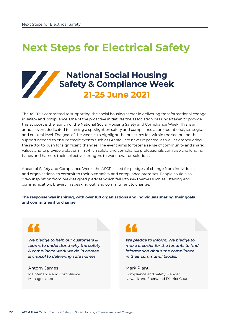## <span id="page-21-0"></span>**Next Steps for Electrical Safety**

### **National Social Housing Safety & Compliance Week 21-25 June 2021**

The ASCP is committed to supporting the social housing sector in delivering transformational change in safety and compliance. One of the proactive initiatives the association has undertaken to provide this support is the launch of the National Social Housing Safety and Compliance Week. This is an annual event dedicated to shining a spotlight on safety and compliance at an operational, strategic, and cultural level. The goal of the week is to highlight the pressures felt within the sector and the support needed to ensure tragic events such as Grenfell are never repeated, as well as empowering the sector to push for significant changes. The event aims to foster a sense of community and shared values and to provide a platform in which safety and compliance professionals can raise challenging issues and harness their collective strengths to work towards solutions.

Ahead of Safety and Compliance Week, the ASCP called for pledges of change from individuals and organisations, to commit to their own safety and compliance promises. People could also draw inspiration from pre-designed pledges which fell into key themes such as listening and communication, bravery in speaking out, and commitment to change.

#### **The response was inspiring, with over 100 organisations and individuals sharing their goals and commitment to change.**

*We pledge to help our customers & teams to understand why the safety & compliance work we do in homes is critical to delivering safe homes.*

Antony James Maintenance and Compliance Manager, ateb

44

## 44

*We pledge to inform: We pledge to make it easier for the tenants to find information about the compliance in their communal blocks.*

#### Mark Plant

Compliance and Safety Manger Newark and Sherwood District Council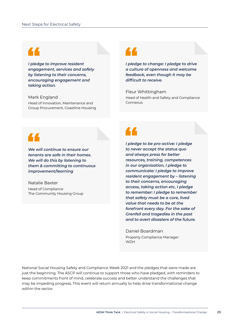## 44

*I pledge to improve resident engagement, services and safety by listening to their concerns, encouraging engagement and taking action.*

#### Mark England Head of Innovation, Maintenance and Group Procurement, Coastline Housing

## 44

*I pledge to change: I pledge to drive a culture of openness and welcome feedback, even though it may be difficult to receive.*

Fleur Whittingham Head of Health and Safety and Compliance Connexus

## 44

*We will continue to ensure our tenants are safe in their homes. We will do this by listening to them & committing to continuous improvement/learning*

Natalie Baxter Head of Compliance The Community Housing Group

## 44

*I pledge to be pro-active: I pledge to never accept the status quo and always press for better resources, training, competences in our organisation, I pledge to communicate: I pledge to improve resident engagement by – listening to their concerns, encouraging access, taking action etc, I pledge to remember: I pledge to remember that safety must be a core, lived value that needs to be at the forefront every day. For the sake of Grenfell and tragedies in the past and to avert disasters of the future.*

Daniel Boardman Property Compliance Manager WDH

National Social Housing Safety and Compliance Week 2021 and the pledges that were made are just the beginning. The ASCP will continue to support those who have pledged, with reminders to keep commitments front of mind, celebrate success and better understand the challenges that may be impeding progress. This event will return annually to help drive transformational change within the sector.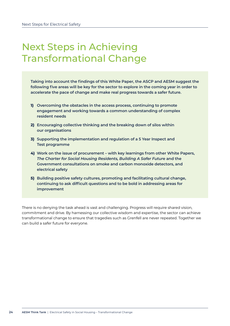### Next Steps in Achieving Transformational Change

**Taking into account the findings of this White Paper, the ASCP and AESM suggest the following five areas will be key for the sector to explore in the coming year in order to accelerate the pace of change and make real progress towards a safer future.** 

- **1) Overcoming the obstacles in the access process, continuing to promote engagement and working towards a common understanding of complex resident needs**
- **2) Encouraging collective thinking and the breaking down of silos within our organisations**
- **3) Supporting the implementation and regulation of a 5 Year Inspect and Test programme**
- **4) Work on the issue of procurement with key learnings from other White Papers,**  *The Charter for Social Housing Residents, Building A Safer Futur***e and the Government consultations on smoke and carbon monoxide detectors, and electrical safety**
- **5) Building positive safety cultures, promoting and facilitating cultural change, continuing to ask difficult questions and to be bold in addressing areas for improvement**

There is no denying the task ahead is vast and challenging. Progress will require shared vision, commitment and drive. By harnessing our collective wisdom and expertise, the sector can achieve transformational change to ensure that tragedies such as Grenfell are never repeated. Together we can build a safer future for everyone.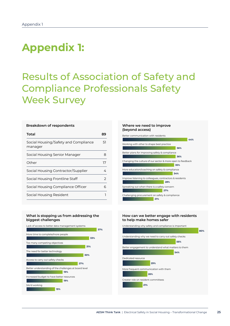## <span id="page-24-0"></span>**Appendix 1:**

### Results of Association of Safety and Compliance Professionals Safety Week Survey

#### **Breakdown of respondents**

| Total                                           | 89            |
|-------------------------------------------------|---------------|
| Social Housing/Safety and Compliance<br>manager | 51            |
| Social Housing Senior Manager                   | 8             |
| Other                                           | 17            |
| Social Housing Contractor/Supplier              | 4             |
| Social Housing Frontline Staff                  | $\mathcal{P}$ |
| Social Housing Compliance Officer               | ൳             |
| Social Housing Resident                         |               |

#### **Where we need to improve (beyond access)**



#### **What is stopping us from addressing the biggest challenges**



#### **How can we better engage with residents to help make homes safer**

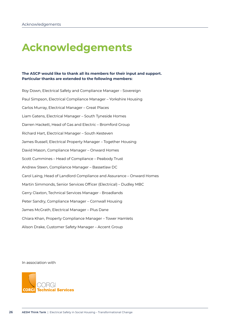## <span id="page-25-0"></span>**Acknowledgements**

#### **The ASCP would like to thank all its members for their input and support. Particular thanks are extended to the following members:**

Roy Down, Electrical Safety and Compliance Manager - Sovereign Paul Simpson, Electrical Compliance Manager – Yorkshire Housing Carlos Murray, Electrical Manager – Great Places Liam Gatens, Electrical Manager – South Tyneside Homes Darren Hackett, Head of Gas and Electric – Bromford Group Richard Hart, Electrical Manager – South Kesteven James Russell, Electrical Property Manager – Together Housing David Mason, Compliance Manager – Onward Homes Scott Cummines – Head of Compliance – Peabody Trust Andrew Steen, Compliance Manager – Bassetlaw DC Carol Laing, Head of Landlord Compliance and Assurance – Onward Homes Martin Simmonds, Senior Services Officer (Electrical) – Dudley MBC Gerry Claxton, Technical Services Manager - Broadlands Peter Sandry, Compliance Manager – Cornwall Housing James McGrath, Electrical Manager – Plus Dane Chiara Khan, Property Compliance Manager – Tower Hamlets Alison Drake, Customer Safety Manager – Accent Group

In association with